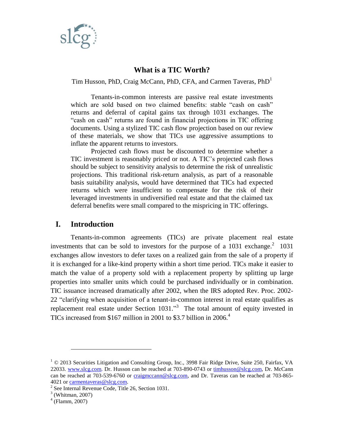

## **What is a TIC Worth?**

Tim Husson, PhD, Craig McCann, PhD, CFA, and Carmen Taveras, PhD<sup>1</sup>

Tenants-in-common interests are passive real estate investments which are sold based on two claimed benefits: stable "cash on cash" returns and deferral of capital gains tax through 1031 exchanges. The "cash on cash" returns are found in financial projections in TIC offering documents. Using a stylized TIC cash flow projection based on our review of these materials, we show that TICs use aggressive assumptions to inflate the apparent returns to investors.

Projected cash flows must be discounted to determine whether a TIC investment is reasonably priced or not. A TIC's projected cash flows should be subject to sensitivity analysis to determine the risk of unrealistic projections. This traditional risk-return analysis, as part of a reasonable basis suitability analysis, would have determined that TICs had expected returns which were insufficient to compensate for the risk of their leveraged investments in undiversified real estate and that the claimed tax deferral benefits were small compared to the mispricing in TIC offerings.

### **I. Introduction**

Tenants-in-common agreements (TICs) are private placement real estate investments that can be sold to investors for the purpose of a  $1031$  exchange.<sup>2</sup> 1031 exchanges allow investors to defer taxes on a realized gain from the sale of a property if it is exchanged for a like-kind property within a short time period. TICs make it easier to match the value of a property sold with a replacement property by splitting up large properties into smaller units which could be purchased individually or in combination. TIC issuance increased dramatically after 2002, when the IRS adopted Rev. Proc. 2002- 22 "clarifying when acquisition of a tenant-in-common interest in real estate qualifies as replacement real estate under Section  $1031.^{3}$  The total amount of equity invested in TICs increased from \$167 million in 2001 to \$3.7 billion in 2006.<sup>4</sup>

 $1$   $\odot$  2013 Securities Litigation and Consulting Group, Inc., 3998 Fair Ridge Drive, Suite 250, Fairfax, VA 22033. [www.slcg.com.](http://www.slcg.com/) Dr. Husson can be reached at 703-890-0743 or [timhusson@slcg.com,](mailto:timhusson@slcg.com) Dr. McCann can be reached at 703-539-6760 or [craigmccann@slcg.com,](mailto:craigmccann@slcg.com) and Dr. Taveras can be reached at 703-865-4021 or [carmentaveras@slcg.com.](mailto:carmentaveras@slcg.com)

<sup>&</sup>lt;sup>2</sup> See Internal Revenue Code, Title 26, Section 1031.

 $3$  (Whitman, 2007)

<sup>4</sup> (Flamm, 2007)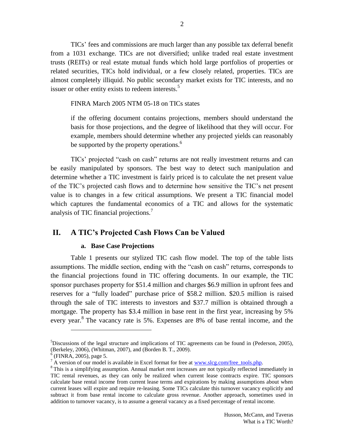TICs' fees and commissions are much larger than any possible tax deferral benefit from a 1031 exchange. TICs are not diversified; unlike traded real estate investment trusts (REITs) or real estate mutual funds which hold large portfolios of properties or related securities, TICs hold individual, or a few closely related, properties. TICs are almost completely illiquid. No public secondary market exists for TIC interests, and no issuer or other entity exists to redeem interests.<sup>5</sup>

FINRA March 2005 NTM 05-18 on TICs states

if the offering document contains projections, members should understand the basis for those projections, and the degree of likelihood that they will occur. For example, members should determine whether any projected yields can reasonably be supported by the property operations.<sup>6</sup>

TICs' projected "cash on cash" returns are not really investment returns and can be easily manipulated by sponsors. The best way to detect such manipulation and determine whether a TIC investment is fairly priced is to calculate the net present value of the TIC's projected cash flows and to determine how sensitive the TIC's net present value is to changes in a few critical assumptions. We present a TIC financial model which captures the fundamental economics of a TIC and allows for the systematic analysis of TIC financial projections.<sup>7</sup>

# **II. A TIC's Projected Cash Flows Can be Valued**

#### **a. Base Case Projections**

Table 1 presents our stylized TIC cash flow model. The top of the table lists assumptions. The middle section, ending with the "cash on cash" returns, corresponds to the financial projections found in TIC offering documents. In our example, the TIC sponsor purchases property for \$51.4 million and charges \$6.9 million in upfront fees and reserves for a "fully loaded" purchase price of \$58.2 million. \$20.5 million is raised through the sale of TIC interests to investors and \$37.7 million is obtained through a mortgage. The property has \$3.4 million in base rent in the first year, increasing by 5% every year.<sup>8</sup> The vacancy rate is 5%. Expenses are 8% of base rental income, and the

<sup>5</sup>Discussions of the legal structure and implications of TIC agreements can be found in (Pederson, 2005), (Berkeley, 2006), (Whitman, 2007), and (Borden B. T., 2009).

<sup>6</sup> (FINRA, 2005), page 5.

 $7^7$  A version of our model is available in Excel format for free at <u>www.slcg.com/free\_tools.php</u>.

<sup>&</sup>lt;sup>8</sup> This is a simplifying assumption. Annual market rent increases are not typically reflected immediately in TIC rental revenues, as they can only be realized when current lease contracts expire. TIC sponsors calculate base rental income from current lease terms and expirations by making assumptions about when current leases will expire and require re-leasing. Some TICs calculate this turnover vacancy explicitly and subtract it from base rental income to calculate gross revenue. Another approach, sometimes used in addition to turnover vacancy, is to assume a general vacancy as a fixed percentage of rental income.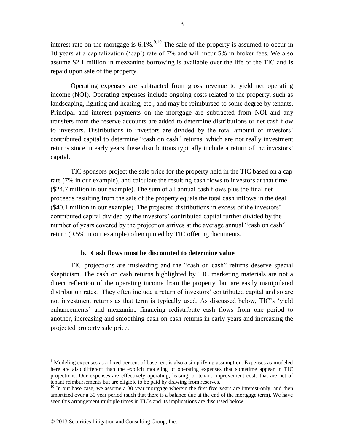interest rate on the mortgage is  $6.1\%$ .<sup>9,10</sup> The sale of the property is assumed to occur in 10 years at a capitalization ('cap') rate of 7% and will incur 5% in broker fees. We also assume \$2.1 million in mezzanine borrowing is available over the life of the TIC and is repaid upon sale of the property.

Operating expenses are subtracted from gross revenue to yield net operating income (NOI). Operating expenses include ongoing costs related to the property, such as landscaping, lighting and heating, etc., and may be reimbursed to some degree by tenants. Principal and interest payments on the mortgage are subtracted from NOI and any transfers from the reserve accounts are added to determine distributions or net cash flow to investors. Distributions to investors are divided by the total amount of investors' contributed capital to determine "cash on cash" returns, which are not really investment returns since in early years these distributions typically include a return of the investors' capital.

TIC sponsors project the sale price for the property held in the TIC based on a cap rate (7% in our example), and calculate the resulting cash flows to investors at that time (\$24.7 million in our example). The sum of all annual cash flows plus the final net proceeds resulting from the sale of the property equals the total cash inflows in the deal (\$40.1 million in our example). The projected distributions in excess of the investors' contributed capital divided by the investors' contributed capital further divided by the number of years covered by the projection arrives at the average annual "cash on cash" return (9.5% in our example) often quoted by TIC offering documents.

#### **b. Cash flows must be discounted to determine value**

TIC projections are misleading and the "cash on cash" returns deserve special skepticism. The cash on cash returns highlighted by TIC marketing materials are not a direct reflection of the operating income from the property, but are easily manipulated distribution rates. They often include a return of investors' contributed capital and so are not investment returns as that term is typically used. As discussed below, TIC's 'yield enhancements' and mezzanine financing redistribute cash flows from one period to another, increasing and smoothing cash on cash returns in early years and increasing the projected property sale price.

 $9$  Modeling expenses as a fixed percent of base rent is also a simplifying assumption. Expenses as modeled here are also different than the explicit modeling of operating expenses that sometime appear in TIC projections. Our expenses are effectively operating, leasing, or tenant improvement costs that are net of tenant reimbursements but are eligible to be paid by drawing from reserves.

 $10$  In our base case, we assume a 30 year mortgage wherein the first five years are interest-only, and then amortized over a 30 year period (such that there is a balance due at the end of the mortgage term). We have seen this arrangement multiple times in TICs and its implications are discussed below.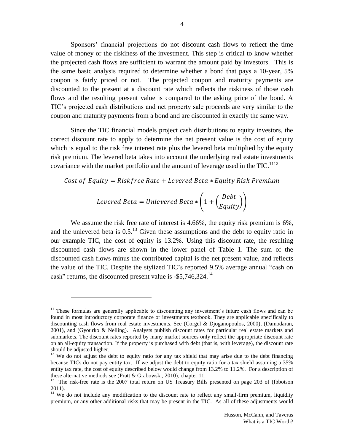Sponsors' financial projections do not discount cash flows to reflect the time value of money or the riskiness of the investment. This step is critical to know whether the projected cash flows are sufficient to warrant the amount paid by investors. This is the same basic analysis required to determine whether a bond that pays a 10-year, 5% coupon is fairly priced or not. The projected coupon and maturity payments are discounted to the present at a discount rate which reflects the riskiness of those cash flows and the resulting present value is compared to the asking price of the bond. A TIC's projected cash distributions and net property sale proceeds are very similar to the coupon and maturity payments from a bond and are discounted in exactly the same way.

Since the TIC financial models project cash distributions to equity investors, the correct discount rate to apply to determine the net present value is the cost of equity which is equal to the risk free interest rate plus the levered beta multiplied by the equity risk premium. The levered beta takes into account the underlying real estate investments covariance with the market portfolio and the amount of leverage used in the  $TIC$ .<sup>1112</sup>

$$
\textit{Cost of Equity} = \textit{Riskfree Rate} + \textit{Levered Beta} * \textit{Equity Risk Premium}
$$

$$
Levered Beta = Unlevered Beta * \left(1 + \left(\frac{Debt}{Equity}\right)\right)
$$

We assume the risk free rate of interest is 4.66%, the equity risk premium is 6%, and the unlevered beta is  $0.5$ .<sup>13</sup> Given these assumptions and the debt to equity ratio in our example TIC, the cost of equity is 13.2%. Using this discount rate, the resulting discounted cash flows are shown in the lower panel of Table 1. The sum of the discounted cash flows minus the contributed capital is the net present value, and reflects the value of the TIC. Despite the stylized TIC's reported 9.5% average annual "cash on cash" returns, the discounted present value is  $-$ \$5,746,324.<sup>14</sup>

 $11$  These formulas are generally applicable to discounting any investment's future cash flows and can be found in most introductory corporate finance or investments textbook. They are applicable specifically to discounting cash flows from real estate investments. See (Corgel & Djoganopoulos, 2000), (Damodaran, 2001), and (Gyourko & Nelling). Analysts publish discount rates for particular real estate markets and submarkets. The discount rates reported by many market sources only reflect the appropriate discount rate on an all-equity transaction. If the property is purchased with debt (that is, with leverage), the discount rate should be adjusted higher.

 $12$  We do not adjust the debt to equity ratio for any tax shield that may arise due to the debt financing because TICs do not pay entity tax. If we adjust the debt to equity ratio for a tax shield assuming a 35% entity tax rate, the cost of equity described below would change from 13.2% to 11.2%. For a description of these alternative methods see (Pratt & Grabowski, 2010), chapter 11.

<sup>&</sup>lt;sup>13</sup> The risk-free rate is the 2007 total return on US Treasury Bills presented on page 203 of (Ibbotson 2011).

<sup>&</sup>lt;sup>14</sup> We do not include any modification to the discount rate to reflect any small-firm premium, liquidity premium, or any other additional risks that may be present in the TIC. As all of these adjustments would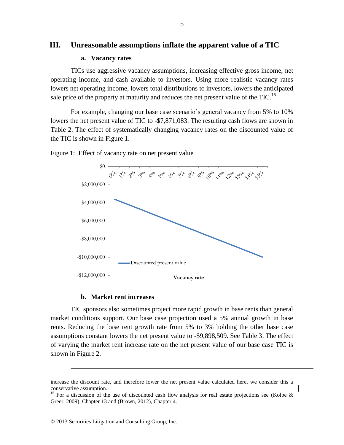### **III. Unreasonable assumptions inflate the apparent value of a TIC**

### **a. Vacancy rates**

TICs use aggressive vacancy assumptions, increasing effective gross income, net operating income, and cash available to investors. Using more realistic vacancy rates lowers net operating income, lowers total distributions to investors, lowers the anticipated sale price of the property at maturity and reduces the net present value of the  $TIC$ .<sup>15</sup>

For example, changing our base case scenario's general vacancy from 5% to 10% lowers the net present value of TIC to -\$7,871,083. The resulting cash flows are shown in Table 2. The effect of systematically changing vacancy rates on the discounted value of the TIC is shown in Figure 1.



#### Figure 1: Effect of vacancy rate on net present value

#### **b. Market rent increases**

TIC sponsors also sometimes project more rapid growth in base rents than general market conditions support. Our base case projection used a 5% annual growth in base rents. Reducing the base rent growth rate from 5% to 3% holding the other base case assumptions constant lowers the net present value to -\$9,898,509. See Table 3. The effect of varying the market rent increase rate on the net present value of our base case TIC is shown in Figure 2.

increase the discount rate, and therefore lower the net present value calculated here, we consider this a conservative assumption.

<sup>&</sup>lt;sup>15</sup> For a discussion of the use of discounted cash flow analysis for real estate projections see (Kolbe  $\&$ Greer, 2009), Chapter 13 and (Brown, 2012), Chapter 4.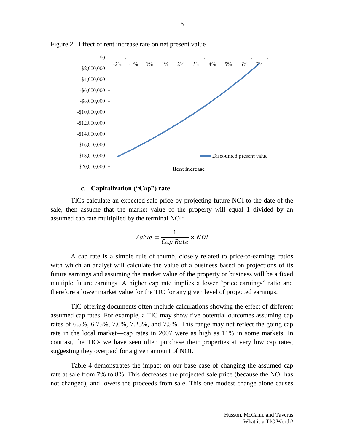

Figure 2: Effect of rent increase rate on net present value

### **c. Capitalization ("Cap") rate**

TICs calculate an expected sale price by projecting future NOI to the date of the sale, then assume that the market value of the property will equal 1 divided by an assumed cap rate multiplied by the terminal NOI:

$$
Value = \frac{1}{Cap Rate} \times NOI
$$

A cap rate is a simple rule of thumb, closely related to price-to-earnings ratios with which an analyst will calculate the value of a business based on projections of its future earnings and assuming the market value of the property or business will be a fixed multiple future earnings. A higher cap rate implies a lower "price earnings" ratio and therefore a lower market value for the TIC for any given level of projected earnings.

TIC offering documents often include calculations showing the effect of different assumed cap rates. For example, a TIC may show five potential outcomes assuming cap rates of 6.5%, 6.75%, 7.0%, 7.25%, and 7.5%. This range may not reflect the going cap rate in the local market—cap rates in 2007 were as high as 11% in some markets. In contrast, the TICs we have seen often purchase their properties at very low cap rates, suggesting they overpaid for a given amount of NOI.

Table 4 demonstrates the impact on our base case of changing the assumed cap rate at sale from 7% to 8%. This decreases the projected sale price (because the NOI has not changed), and lowers the proceeds from sale. This one modest change alone causes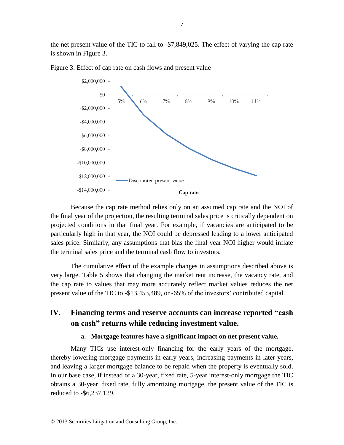the net present value of the TIC to fall to -\$7,849,025. The effect of varying the cap rate is shown in Figure 3.



Figure 3: Effect of cap rate on cash flows and present value

Because the cap rate method relies only on an assumed cap rate and the NOI of the final year of the projection, the resulting terminal sales price is critically dependent on projected conditions in that final year. For example, if vacancies are anticipated to be particularly high in that year, the NOI could be depressed leading to a lower anticipated sales price. Similarly, any assumptions that bias the final year NOI higher would inflate the terminal sales price and the terminal cash flow to investors.

The cumulative effect of the example changes in assumptions described above is very large. Table 5 shows that changing the market rent increase, the vacancy rate, and the cap rate to values that may more accurately reflect market values reduces the net present value of the TIC to -\$13,453,489, or -65% of the investors' contributed capital.

# **IV. Financing terms and reserve accounts can increase reported "cash on cash" returns while reducing investment value.**

### **a. Mortgage features have a significant impact on net present value.**

Many TICs use interest-only financing for the early years of the mortgage, thereby lowering mortgage payments in early years, increasing payments in later years, and leaving a larger mortgage balance to be repaid when the property is eventually sold. In our base case, if instead of a 30-year, fixed rate, 5-year interest-only mortgage the TIC obtains a 30-year, fixed rate, fully amortizing mortgage, the present value of the TIC is reduced to -\$6,237,129.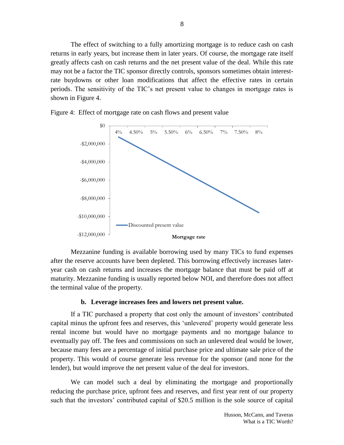The effect of switching to a fully amortizing mortgage is to reduce cash on cash returns in early years, but increase them in later years. Of course, the mortgage rate itself greatly affects cash on cash returns and the net present value of the deal. While this rate may not be a factor the TIC sponsor directly controls, sponsors sometimes obtain interestrate buydowns or other loan modifications that affect the effective rates in certain periods. The sensitivity of the TIC's net present value to changes in mortgage rates is shown in Figure 4.



Figure 4: Effect of mortgage rate on cash flows and present value

Mezzanine funding is available borrowing used by many TICs to fund expenses after the reserve accounts have been depleted. This borrowing effectively increases lateryear cash on cash returns and increases the mortgage balance that must be paid off at maturity. Mezzanine funding is usually reported below NOI, and therefore does not affect the terminal value of the property.

#### **b. Leverage increases fees and lowers net present value.**

If a TIC purchased a property that cost only the amount of investors' contributed capital minus the upfront fees and reserves, this 'unlevered' property would generate less rental income but would have no mortgage payments and no mortgage balance to eventually pay off. The fees and commissions on such an unlevered deal would be lower, because many fees are a percentage of initial purchase price and ultimate sale price of the property. This would of course generate less revenue for the sponsor (and none for the lender), but would improve the net present value of the deal for investors.

We can model such a deal by eliminating the mortgage and proportionally reducing the purchase price, upfront fees and reserves, and first year rent of our property such that the investors' contributed capital of \$20.5 million is the sole source of capital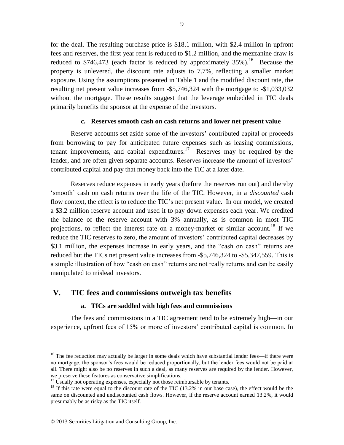for the deal. The resulting purchase price is \$18.1 million, with \$2.4 million in upfront fees and reserves, the first year rent is reduced to \$1.2 million, and the mezzanine draw is reduced to \$746,473 (each factor is reduced by approximately  $35\%$ ).<sup>16</sup> Because the property is unlevered, the discount rate adjusts to 7.7%, reflecting a smaller market exposure. Using the assumptions presented in Table 1 and the modified discount rate, the resulting net present value increases from -\$5,746,324 with the mortgage to -\$1,033,032 without the mortgage. These results suggest that the leverage embedded in TIC deals primarily benefits the sponsor at the expense of the investors.

#### **c. Reserves smooth cash on cash returns and lower net present value**

Reserve accounts set aside some of the investors' contributed capital or proceeds from borrowing to pay for anticipated future expenses such as leasing commissions, tenant improvements, and capital expenditures.<sup>17</sup> Reserves may be required by the lender, and are often given separate accounts. Reserves increase the amount of investors' contributed capital and pay that money back into the TIC at a later date.

Reserves reduce expenses in early years (before the reserves run out) and thereby 'smooth' cash on cash returns over the life of the TIC. However, in a *discounted* cash flow context, the effect is to reduce the TIC's net present value. In our model, we created a \$3.2 million reserve account and used it to pay down expenses each year. We credited the balance of the reserve account with 3% annually, as is common in most TIC projections, to reflect the interest rate on a money-market or similar account.<sup>18</sup> If we reduce the TIC reserves to zero, the amount of investors' contributed capital decreases by \$3.1 million, the expenses increase in early years, and the "cash on cash" returns are reduced but the TICs net present value increases from -\$5,746,324 to -\$5,347,559. This is a simple illustration of how "cash on cash" returns are not really returns and can be easily manipulated to mislead investors.

### **V. TIC fees and commissions outweigh tax benefits**

### **a. TICs are saddled with high fees and commissions**

The fees and commissions in a TIC agreement tend to be extremely high—in our experience, upfront fees of 15% or more of investors' contributed capital is common. In

<sup>&</sup>lt;sup>16</sup> The fee reduction may actually be larger in some deals which have substantial lender fees—if there were no mortgage, the sponsor's fees would be reduced proportionally, but the lender fees would not be paid at all. There might also be no reserves in such a deal, as many reserves are required by the lender. However, we preserve these features as conservative simplifications.

 $17$  Usually not operating expenses, especially not those reimbursable by tenants.

<sup>&</sup>lt;sup>18</sup> If this rate were equal to the discount rate of the TIC (13.2% in our base case), the effect would be the same on discounted and undiscounted cash flows. However, if the reserve account earned 13.2%, it would presumably be as risky as the TIC itself.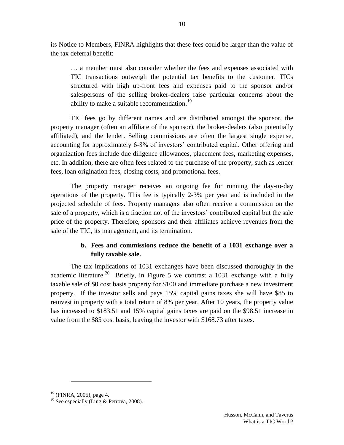its Notice to Members, FINRA highlights that these fees could be larger than the value of the tax deferral benefit:

… a member must also consider whether the fees and expenses associated with TIC transactions outweigh the potential tax benefits to the customer. TICs structured with high up-front fees and expenses paid to the sponsor and/or salespersons of the selling broker-dealers raise particular concerns about the ability to make a suitable recommendation.<sup>19</sup>

10

TIC fees go by different names and are distributed amongst the sponsor, the property manager (often an affiliate of the sponsor), the broker-dealers (also potentially affiliated), and the lender. Selling commissions are often the largest single expense, accounting for approximately 6-8% of investors' contributed capital. Other offering and organization fees include due diligence allowances, placement fees, marketing expenses, etc. In addition, there are often fees related to the purchase of the property, such as lender fees, loan origination fees, closing costs, and promotional fees.

The property manager receives an ongoing fee for running the day-to-day operations of the property. This fee is typically 2-3% per year and is included in the projected schedule of fees. Property managers also often receive a commission on the sale of a property, which is a fraction not of the investors' contributed capital but the sale price of the property. Therefore, sponsors and their affiliates achieve revenues from the sale of the TIC, its management, and its termination.

# **b. Fees and commissions reduce the benefit of a 1031 exchange over a fully taxable sale.**

The tax implications of 1031 exchanges have been discussed thoroughly in the academic literature.<sup>20</sup> Briefly, in Figure 5 we contrast a 1031 exchange with a fully taxable sale of \$0 cost basis property for \$100 and immediate purchase a new investment property. If the investor sells and pays 15% capital gains taxes she will have \$85 to reinvest in property with a total return of 8% per year. After 10 years, the property value has increased to \$183.51 and 15% capital gains taxes are paid on the \$98.51 increase in value from the \$85 cost basis, leaving the investor with \$168.73 after taxes.

 $19$  (FINRA, 2005), page 4.

<sup>&</sup>lt;sup>20</sup> See especially (Ling & Petrova, 2008).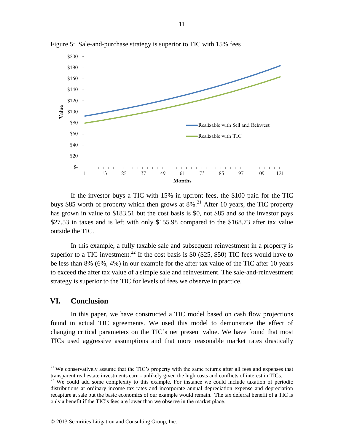

Figure 5: Sale-and-purchase strategy is superior to TIC with 15% fees

If the investor buys a TIC with 15% in upfront fees, the \$100 paid for the TIC buys \$85 worth of property which then grows at  $8\%$ <sup>21</sup> After 10 years, the TIC property has grown in value to \$183.51 but the cost basis is \$0, not \$85 and so the investor pays \$27.53 in taxes and is left with only \$155.98 compared to the \$168.73 after tax value outside the TIC.

In this example, a fully taxable sale and subsequent reinvestment in a property is superior to a TIC investment.<sup>22</sup> If the cost basis is \$0 (\$25, \$50) TIC fees would have to be less than 8% (6%, 4%) in our example for the after tax value of the TIC after 10 years to exceed the after tax value of a simple sale and reinvestment. The sale-and-reinvestment strategy is superior to the TIC for levels of fees we observe in practice.

### **VI. Conclusion**

 $\overline{a}$ 

In this paper, we have constructed a TIC model based on cash flow projections found in actual TIC agreements. We used this model to demonstrate the effect of changing critical parameters on the TIC's net present value. We have found that most TICs used aggressive assumptions and that more reasonable market rates drastically

<sup>&</sup>lt;sup>21</sup> We conservatively assume that the TIC's property with the same returns after all fees and expenses that transparent real estate investments earn - unlikely given the high costs and conflicts of interest in TICs.

<sup>&</sup>lt;sup>22</sup> We could add some complexity to this example. For instance we could include taxation of periodic distributions at ordinary income tax rates and incorporate annual depreciation expense and depreciation recapture at sale but the basic economics of our example would remain. The tax deferral benefit of a TIC is only a benefit if the TIC's fees are lower than we observe in the market place.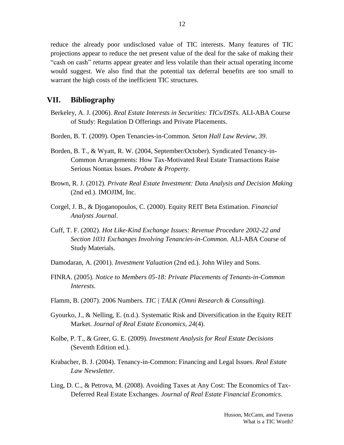reduce the already poor undisclosed value of TIC interests. Many features of TIC projections appear to reduce the net present value of the deal for the sake of making their "cash on cash" returns appear greater and less volatile than their actual operating income would suggest. We also find that the potential tax deferral benefits are too small to warrant the high costs of the inefficient TIC structures.

## **VII. Bibliography**

- Berkeley, A. J. (2006). *Real Estate Interests in Securities: TICs/DSTs.* ALI-ABA Course of Study: Regulation D Offerings and Private Placements.
- Borden, B. T. (2009). Open Tenancies-in-Common. *Seton Hall Law Review, 39*.
- Borden, B. T., & Wyatt, R. W. (2004, September/October). Syndicated Tenancy-in-Common Arrangements: How Tax-Motivated Real Estate Transactions Raise Serious Nontax Issues. *Probate & Property*.
- Brown, R. J. (2012). *Private Real Estate Investment: Data Analysis and Decision Making* (2nd ed.). IMOJIM, Inc.
- Corgel, J. B., & Djoganopoulos, C. (2000). Equity REIT Beta Estimation. *Financial Analysts Journal*.
- Cuff, T. F. (2002). *Hot Like-Kind Exchange Issues: Revenue Procedure 2002-22 and Section 1031 Exchanges Involving Tenancies-in-Common.* ALI-ABA Course of Study Materials.
- Damodaran, A. (2001). *Investment Valuation* (2nd ed.). John Wiley and Sons.
- FINRA. (2005). *Notice to Members 05-18: Private Placements of Tenants-in-Common Interests.*
- Flamm, B. (2007). 2006 Numbers. *TIC | TALK (Omni Research & Consulting).*
- Gyourko, J., & Nelling, E. (n.d.). Systematic Risk and Diversification in the Equity REIT Market. *Journal of Real Estate Economics, 24*(4).
- Kolbe, P. T., & Greer, G. E. (2009). *Investment Analysis for Real Estate Decisions* (Seventh Edition ed.).
- Krabacher, B. J. (2004). Tenancy-in-Common: Financing and Legal Issues. *Real Estate Law Newsletter*.
- Ling, D. C., & Petrova, M. (2008). Avoiding Taxes at Any Cost: The Economics of Tax-Deferred Real Estate Exchanges. *Journal of Real Estate Financial Economics*.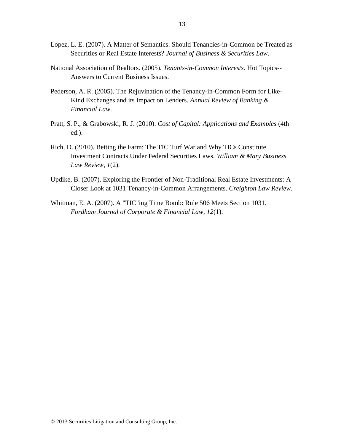- Lopez, L. E. (2007). A Matter of Semantics: Should Tenancies-in-Common be Treated as Securities or Real Estate Interests? *Journal of Business & Securities Law*.
- National Association of Realtors. (2005). *Tenants-in-Common Interests.* Hot Topics-- Answers to Current Business Issues.
- Pederson, A. R. (2005). The Rejuvination of the Tenancy-in-Common Form for Like-Kind Exchanges and its Impact on Lenders. *Annual Review of Banking & Financial Law*.
- Pratt, S. P., & Grabowski, R. J. (2010). *Cost of Capital: Applications and Examples* (4th ed.).
- Rich, D. (2010). Betting the Farm: The TIC Turf War and Why TICs Constitute Investment Contracts Under Federal Securities Laws. *William & Mary Business Law Review, 1*(2).
- Updike, B. (2007). Exploring the Frontier of Non-Traditional Real Estate Investments: A Closer Look at 1031 Tenancy-in-Common Arrangements. *Creighton Law Review*.
- Whitman, E. A. (2007). A "TIC"ing Time Bomb: Rule 506 Meets Section 1031. *Fordham Journal of Corporate & Financial Law, 12*(1).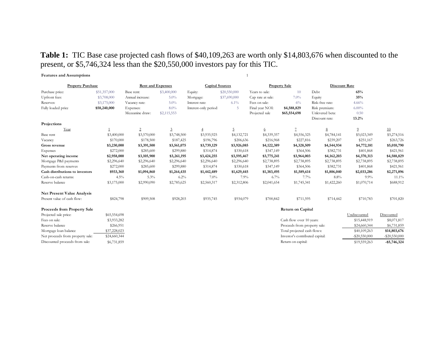# **Table 1:** TIC Base case projected cash flows of \$40,109,263 are worth only \$14,803,676 when discounted to the present, or \$5,746,324 less than the \$20,550,000 investors pay for this TIC.

| <b>Features and Assumptions</b>    |              |                          |             |                        |                |                      |                              |                 |                |             |
|------------------------------------|--------------|--------------------------|-------------|------------------------|----------------|----------------------|------------------------------|-----------------|----------------|-------------|
| <b>Property Purchase</b>           |              | <b>Rent and Expenses</b> |             | <b>Capital Sources</b> |                | <b>Property Sale</b> |                              | Discount Rate   |                |             |
| Purchase price:                    | \$51,357,000 | Base rent:               | \$3,400,000 | Equity:                | \$20,550,000   | Years to sale:       | 10                           | Debt            | 65%            |             |
| Upfront fees:                      | \$3,708,000  | Annual increase:         | $5.0\%$     | Mortgage:              | \$37,690,000   | Cap rate at sale:    | 7.0%                         | Equity          | 35%            |             |
| Reserves:                          | \$3,175,000  | Vacancy rate:            | $5.0\%$     | Interest rate:         | $6.1\%$        | Fees on sale:        | 6%                           | Risk-free rate: | 4.66%          |             |
| Fully loaded price                 | \$58,240,000 | Expenses:                | $8.0\%$     | Interest-only period:  | -5             | Final year NOI:      | \$4,588,829                  | Risk premium:   | $6.00\%$       |             |
|                                    |              | Mezzanine draw:          | \$2,115,553 |                        |                | Projected sale       | \$65,554,698                 | Unlevered beta: | 0.50           |             |
|                                    |              |                          |             |                        |                |                      |                              | Discount rate:  | 13.2%          |             |
| Projections                        |              |                          |             |                        |                |                      |                              |                 |                |             |
| Year                               |              | $\overline{2}$           | 3           | $\overline{4}$         | $\overline{5}$ | 6                    | $\overline{7}$               | 8               | $\overline{0}$ | 10          |
| Base rent                          | \$3,400,000  | \$3,570,000              | \$3,748,500 | \$3,935,925            | \$4,132,721    | \$4,339,357          | \$4,556,325                  | \$4,784,141     | \$5,023,349    | \$5,274,516 |
| Vacancy                            | \$170,000    | \$178,500                | \$187,425   | \$196,796              | \$206,636      | \$216,968            | \$227,816                    | \$239,207       | \$251,167      | \$263,726   |
| Gross revenue                      | \$3,230,000  | \$3,391,500              | \$3,561,075 | \$3,739,129            | \$3,926,085    | \$4,122,389          | \$4,328,509                  | \$4,544,934     | \$4,772,181    | \$5,010,790 |
| Expenses                           | \$272,000    | \$285,600                | \$299,880   | \$314,874              | \$330,618      | \$347,149            | \$364,506                    | \$382,731       | \$401,868      | \$421,961   |
| Net operating income               | \$2,958,000  | \$3,105,900              | \$3,261,195 | \$3,424,255            | \$3,595,467    | \$3,775,241          | \$3,964,003                  | \$4,162,203     | \$4,370,313    | \$4,588,829 |
| Mortgage P&I payments              | \$2,296,640  | \$2,296,640              | \$2,296,640 | \$2,296,640            | \$2,296,640    | \$2,738,895          | \$2,738,895                  | \$2,738,895     | \$2,738,895    | \$2,738,895 |
| Payments from reserves             | \$272,000    | \$285,600                | \$299,880   | \$314,874              | \$330,618      | \$347,149            | \$364,506                    | \$382,731       | \$401,868      | \$421,961   |
| Cash distributions to investors    | \$933,360    | \$1,094,860              | \$1,264,435 | \$1,442,489            | \$1,629,445    | \$1,383,495          | \$1,589,614                  | \$1,806,040     | \$2,033,286    | \$2,271,896 |
| Cash-on-cash returns:              | 4.5%         | 5.3%                     | 6.2%        | $7.0\%$                | 7.9%           | 6.7%                 | 7.7%                         | $8.8\%$         | $9.9\%$        | $11.1\%$    |
| Reserve balance                    | \$3,175,000  | \$2,990,090              | \$2,785,625 | \$2,560,317            | \$2,312,806    | \$2,041,654          | \$1,745,341                  | \$1,422,260     | \$1,070,714    | \$688,912   |
| <b>Net Present Value Analysis</b>  |              |                          |             |                        |                |                      |                              |                 |                |             |
| Present value of cash flow:        | \$824,798    | \$909,508                | \$928,203   | \$935,745              | \$934,079      | \$700,842            | \$711,595                    | \$714,442       | \$710,783      | \$701,820   |
| <b>Proceeds from Property Sale</b> |              |                          |             |                        |                |                      | <b>Return on Capital</b>     |                 |                |             |
| Projected sale price:              | \$65,554,698 |                          |             |                        |                |                      |                              |                 | Undiscounted   | Discounted  |
| Fees on sale:                      | \$3,933,282  |                          |             |                        |                |                      | Cash flow over 10 years:     |                 | \$15,448,919   | \$8,071,817 |
| Reserve balance                    | \$266,951    |                          |             |                        |                |                      | Proceeds from property sale: |                 | \$24,660,344   | \$6,731,859 |

| Reserve balance                  | \$266.951    | Proceeds from property sale:    | \$24,660,344     | \$6,731,859      |
|----------------------------------|--------------|---------------------------------|------------------|------------------|
| Mortgage loan balance            | \$37,228,023 | Total projected cash flows:     | \$40,109,263     | \$14,803,676     |
| Net proceeds from property sale: | \$24,660,344 | Investor's contributed capital: | $-$ \$20,550,000 | $-$ \$20,550,000 |
| Discounted proceeds from sale:   | \$6,731,859  | Return on capital:              | \$19,559,263     | $-$ \$5,746,324  |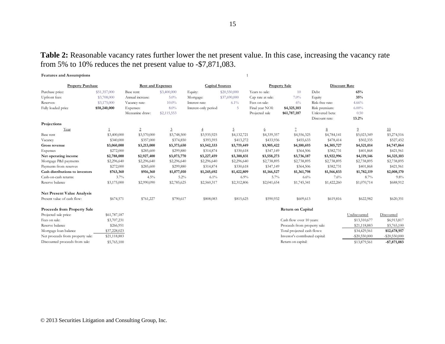**Table 2:** Reasonable vacancy rates further lower the net present value. In this case, increasing the vacancy rate from 5% to 10% reduces the net present value to -\$7,871,083.

| <b>Features and Assumptions</b>  |              |                          |                |                        |                |                      |                                 |                      |                  |                  |
|----------------------------------|--------------|--------------------------|----------------|------------------------|----------------|----------------------|---------------------------------|----------------------|------------------|------------------|
| <b>Property Purchase</b>         |              | <b>Rent and Expenses</b> |                | <b>Capital Sources</b> |                | <b>Property Sale</b> |                                 | <b>Discount Rate</b> |                  |                  |
| Purchase price:                  | \$51,357,000 | Base rent:               | \$3,400,000    | Equity:                | \$20,550,000   | Years to sale:       | 10                              | Debt                 | 65%              |                  |
| Upfront fees:                    | \$3,708,000  | Annual increase:         | $5.0\%$        | Mortgage:              | \$37,690,000   | Cap rate at sale:    | 7.0%                            | Equity               | 35%              |                  |
| Reserves:                        | \$3,175,000  | Vacancy rate:            | $10.0\%$       | Interest rate:         | $6.1\%$        | Fees on sale:        | 6%                              | Risk-free rate:      | 4.66%            |                  |
| Fully loaded price               | \$58,240,000 | Expenses:                | 8.0%           | Interest-only period:  | 5              | Final year NOI:      | \$4,325,103                     | Risk premium:        | $6.00\%$         |                  |
|                                  |              | Mezzanine draw:          | \$2,115,553    |                        |                | Projected sale       | \$61,787,187                    | Unlevered beta:      | 0.50             |                  |
|                                  |              |                          |                |                        |                |                      |                                 | Discount rate:       | 13.2%            |                  |
| Projections                      |              |                          |                |                        |                |                      |                                 |                      |                  |                  |
| Year                             |              | $\overline{2}$           | $\overline{3}$ | $\overline{4}$         | $\overline{5}$ | 6                    | $\overline{7}$                  | 8                    | $\overline{2}$   | 10               |
| Base rent                        | \$3,400,000  | \$3,570,000              | \$3,748,500    | \$3,935,925            | \$4,132,721    | \$4,339,357          | \$4,556,325                     | \$4,784,141          | \$5,023,349      | \$5,274,516      |
| Vacancy                          | \$340,000    | \$357,000                | \$374,850      | \$393,593              | \$413,272      | \$433,936            | \$455,633                       | \$478,414            | \$502,335        | \$527,452        |
| Gross revenue                    | \$3,060,000  | \$3,213,000              | \$3,373,650    | \$3,542,333            | \$3,719,449    | \$3,905,422          | \$4,100,693                     | \$4,305,727          | \$4,521,014      | \$4,747,064      |
| Expenses                         | \$272,000    | \$285,600                | \$299,880      | \$314,874              | \$330,618      | \$347,149            | \$364,506                       | \$382,731            | \$401,868        | \$421,961        |
| Net operating income             | \$2,788,000  | \$2,927,400              | \$3,073,770    | \$3,227,459            | \$3,388,831    | \$3,558,273          | \$3,736,187                     | \$3,922,996          | \$4,119,146      | \$4,325,103      |
| Mortgage P&I payments            | \$2,296,640  | \$2,296,640              | \$2,296,640    | \$2,296,640            | \$2,296,640    | \$2,738,895          | \$2,738,895                     | \$2,738,895          | \$2,738,895      | \$2,738,895      |
| Payments from reserves           | \$272,000    | \$285,600                | \$299,880      | \$314,874              | \$330,618      | \$347,149            | \$364,506                       | \$382,731            | \$401,868        | \$421,961        |
| Cash distributions to investors  | \$763,360    | \$916,360                | \$1,077,010    | \$1,245,692            | \$1,422,809    | \$1,166,527          | \$1,361,798                     | \$1,566,833          | \$1,782,119      | \$2,008,170      |
| Cash-on-cash returns:            | 3.7%         | $4.5\%$                  | 5.2%           | $6.1\%$                | 6.9%           | 5.7%                 | 6.6%                            | 7.6%                 | 8.7%             | 9.8%             |
| Reserve balance                  | \$3,175,000  | \$2,990,090              | \$2,785,625    | \$2,560,317            | \$2,312,806    | \$2,041,654          | \$1,745,341                     | \$1,422,260          | \$1,070,714      | \$688,912        |
| Net Present Value Analysis       |              |                          |                |                        |                |                      |                                 |                      |                  |                  |
| Present value of cash flow:      | \$674,571    | \$761,227                | \$790,617      | \$808,083              | \$815,625      | \$590,932            | \$609,613                       | \$619,816            | \$622,982        | \$620,351        |
| Proceeds from Property Sale      |              |                          |                |                        |                |                      | Return on Capital               |                      |                  |                  |
| Projected sale price:            | \$61,787,187 |                          |                |                        |                |                      |                                 |                      | Undiscounted     | Discounted       |
| Fees on sale:                    | \$3,707,231  |                          |                |                        |                |                      | Cash flow over 10 years:        |                      | \$13,310,677     | \$6,913,817      |
| Reserve balance                  | \$266,951    |                          |                |                        |                |                      | Proceeds from property sale:    |                      | \$21,118,883     | \$5,765,100      |
| Mortgage loan balance            | \$37,228,023 |                          |                |                        |                |                      | Total projected cash flows:     |                      | \$34,429,561     | \$12,678,917     |
| Net proceeds from property sale: | \$21,118,883 |                          |                |                        |                |                      | Investor's contributed capital: |                      | $-$ \$20,550,000 | $-$ \$20,550,000 |
| Discounted proceeds from sale:   | \$5,765,100  |                          |                |                        |                |                      | Return on capital:              |                      | \$13,879,561     | $- $7,871,083$   |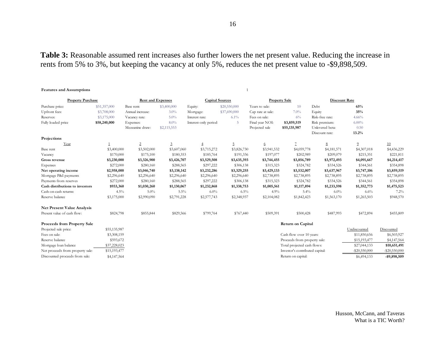**Table 3:** Reasonable assumed rent increases also further lowers the net present value. Reducing the increase in rents from 5% to 3%, but keeping the vacancy at only 5%, reduces the net present value to -\$9,898,509.

#### **Features and Assumptions** 1

| <b>Property Purchase</b>           |              | <b>Rent and Expenses</b> |             | <b>Capital Sources</b> |              | <b>Property Sale</b> |                                 | <b>Discount Rate</b> |                  |                  |
|------------------------------------|--------------|--------------------------|-------------|------------------------|--------------|----------------------|---------------------------------|----------------------|------------------|------------------|
| Purchase price:                    | \$51,357,000 | Base rent:               | \$3,400,000 | Equity:                | \$20,550,000 | Years to sale:       | 10                              | Debt                 | 65%              |                  |
| Upfront fees:                      | \$3,708,000  | Annual increase:         | $3.0\%$     | Mortgage:              | \$37,690,000 | Cap rate at sale:    | 7.0%                            | Equity               | 35%              |                  |
| Reserves:                          | \$3,175,000  | Vacancy rate:            | $5.0\%$     | Interest rate:         | $6.1\%$      | Fees on sale:        | 6%                              | Risk-free rate:      | 4.66%            |                  |
| Fully loaded price                 | \$58,240,000 | Expenses:                | $8.0\%$     | Interest-only period:  | -5           | Final year NOI:      | \$3,859,519                     | Risk premium:        | $6.00\%$         |                  |
|                                    |              | Mezzanine draw:          | \$2,115,553 |                        |              | Projected sale       | \$55,135,987                    | Unlevered beta:      | 0.50             |                  |
|                                    |              |                          |             |                        |              |                      |                                 | Discount rate:       | 13.2%            |                  |
| Projections                        |              |                          |             |                        |              |                      |                                 |                      |                  |                  |
| Year                               |              | $\overline{2}$           | 3           | $\overline{4}$         | 5            | 6                    | $\mathcal I$                    | $8\phantom{.0}$      | $\overline{9}$   | 10               |
| Base rent                          | \$3,400,000  | \$3,502,000              | \$3,607,060 | \$3,715,272            | \$3,826,730  | \$3,941,532          | \$4,059,778                     | \$4,181,571          | \$4,307,018      | \$4,436,229      |
| Vacancy                            | \$170,000    | \$175,100                | \$180,353   | \$185,764              | \$191,336    | \$197,077            | \$202,989                       | \$209,079            | \$215,351        | \$221,811        |
| Gross revenue                      | \$3,230,000  | \$3,326,900              | \$3,426,707 | \$3,529,508            | \$3,635,393  | \$3,744,455          | \$3,856,789                     | \$3,972,493          | \$4,091,667      | \$4,214,417      |
| Expenses                           | \$272,000    | \$280,160                | \$288,565   | \$297,222              | \$306,138    | \$315,323            | \$324,782                       | \$334,526            | \$344,561        | \$354,898        |
| Net operating income               | \$2,958,000  | \$3,046,740              | \$3,138,142 | \$3,232,286            | \$3,329,255  | \$3,429,133          | \$3,532,007                     | \$3,637,967          | \$3,747,106      | \$3,859,519      |
| Mortgage P&I payments              | \$2,296,640  | \$2,296,640              | \$2,296,640 | \$2,296,640            | \$2,296,640  | \$2,738,895          | \$2,738,895                     | \$2,738,895          | \$2,738,895      | \$2,738,895      |
| Payments from reserves             | \$272,000    | \$280,160                | \$288,565   | \$297,222              | \$306,138    | \$315,323            | \$324,782                       | \$334,526            | \$344,561        | \$354,898        |
| Cash distributions to investors    | \$933,360    | \$1,030,260              | \$1,130,067 | \$1,232,868            | \$1,338,753  | \$1,005,561          | \$1,117,894                     | \$1,233,598          | \$1,352,773      | \$1,475,523      |
| Cash-on-cash returns:              | 4.5%         | $5.0\%$                  | $5.5\%$     | $6.0\%$                | $6.5\%$      | 4.9%                 | $5.4\%$                         | $6.0\%$              | 6.6%             | 7.2%             |
| Reserve balance                    | \$3,175,000  | \$2,990,090              | \$2,791,228 | \$2,577,743            | \$2,348,937  | \$2,104,082          | \$1,842,423                     | \$1,563,170          | \$1,265,503      | \$948,570        |
| <b>Net Present Value Analysis</b>  |              |                          |             |                        |              |                      |                                 |                      |                  |                  |
| Present value of cash flow:        | \$824,798    | \$855,844                | \$829,566   | \$799,764              | \$767,440    | \$509,391            | \$500,428                       | \$487,993            | \$472,894        | \$455,809        |
| <b>Proceeds from Property Sale</b> |              |                          |             |                        |              |                      | <b>Return on Capital</b>        |                      |                  |                  |
| Projected sale price:              | \$55,135,987 |                          |             |                        |              |                      |                                 |                      | Undiscounted     | Discounted       |
| Fees on sale:                      | \$3,308,159  |                          |             |                        |              |                      | Cash flow over 10 years:        |                      | \$11,850,656     | \$6,503,927      |
| Reserve balance                    | \$593,672    |                          |             |                        |              |                      | Proceeds from property sale:    |                      | \$15,193,477     | \$4,147,564      |
| Mortgage loan balance              | \$37,228,023 |                          |             |                        |              |                      | Total projected cash flows:     |                      | \$27,044,133     | \$10,651,491     |
| Net proceeds from property sale:   | \$15,193,477 |                          |             |                        |              |                      | Investor's contributed capital: |                      | $-$ \$20,550,000 | $-$ \$20,550,000 |
| Discounted proceeds from sale:     | \$4,147,564  |                          |             |                        |              |                      | Return on capital:              |                      | \$6,494,133      | -\$9,898,509     |

Husson, McCann, and Taveras What is a TIC Worth?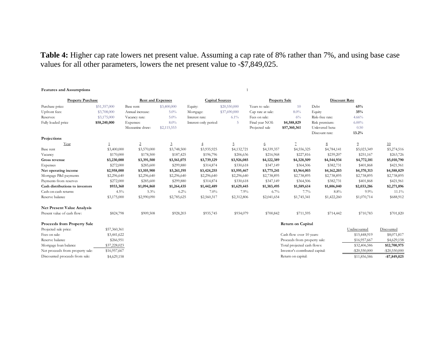**Table 4:** Higher cap rate lowers net present value. Assuming a cap rate of 8% rather than 7%, and using base case values for all other parameters, lowers the net present value to -\$7,849,025.

#### **Features and Assumptions** 1

| <b>Property Purchase</b>           |              | <b>Rent and Expenses</b> |                | <b>Capital Sources</b> |              | <b>Property Sale</b> |                                 | Discount Rate   |                  |                  |
|------------------------------------|--------------|--------------------------|----------------|------------------------|--------------|----------------------|---------------------------------|-----------------|------------------|------------------|
| Purchase price:                    | \$51,357,000 | Base rent:               | \$3,400,000    | Equity:                | \$20,550,000 | Years to sale:       | 10                              | Debt            | 65%              |                  |
| Upfront fees:                      | \$3,708,000  | Annual increase:         | 5.0%           | Mortgage:              | \$37,690,000 | Cap rate at sale:    | 8.0%                            | Equity          | 35%              |                  |
| Reserves:                          | \$3,175,000  | Vacancy rate:            | $5.0\%$        | Interest rate:         | $6.1\%$      | Fees on sale:        | 6%                              | Risk-free rate: | 4.66%            |                  |
| Fully loaded price                 | \$58,240,000 | Expenses:                | $8.0\%$        | Interest-only period:  | -5           | Final year NOI:      | \$4,588,829                     | Risk premium:   | $6.00\%$         |                  |
|                                    |              | Mezzanine draw:          | \$2,115,553    |                        |              | Projected sale       | \$57,360,361                    | Unlevered beta: | 0.50             |                  |
|                                    |              |                          |                |                        |              |                      |                                 | Discount rate:  | 13.2%            |                  |
| Projections                        |              |                          |                |                        |              |                      |                                 |                 |                  |                  |
| Year                               |              | $\overline{2}$           | $\overline{3}$ | $\overline{4}$         | 5            | 6                    | $\overline{1}$                  | $8\phantom{.0}$ | $\overline{2}$   | 10               |
| Base rent                          | \$3,400,000  | \$3,570,000              | \$3,748,500    | \$3,935,925            | \$4,132,721  | \$4,339,357          | \$4,556,325                     | \$4,784,141     | \$5,023,349      | \$5,274,516      |
| Vacancy                            | \$170,000    | \$178,500                | \$187,425      | \$196,796              | \$206,636    | \$216,968            | \$227,816                       | \$239,207       | \$251,167        | \$263,726        |
| Gross revenue                      | \$3,230,000  | \$3,391,500              | \$3,561,075    | \$3,739,129            | \$3,926,085  | \$4,122,389          | \$4,328,509                     | \$4,544,934     | \$4,772,181      | \$5,010,790      |
| Expenses                           | \$272,000    | \$285,600                | \$299,880      | \$314,874              | \$330,618    | \$347,149            | \$364,506                       | \$382,731       | \$401,868        | \$421,961        |
| Net operating income               | \$2,958,000  | \$3,105,900              | \$3,261,195    | \$3,424,255            | \$3,595,467  | \$3,775,241          | \$3,964,003                     | \$4,162,203     | \$4,370,313      | \$4,588,829      |
| Mortgage P&I payments              | \$2,296,640  | \$2,296,640              | \$2,296,640    | \$2,296,640            | \$2,296,640  | \$2,738,895          | \$2,738,895                     | \$2,738,895     | \$2,738,895      | \$2,738,895      |
| Payments from reserves             | \$272,000    | \$285,600                | \$299,880      | \$314,874              | \$330,618    | \$347,149            | \$364,506                       | \$382,731       | \$401,868        | \$421,961        |
| Cash distributions to investors    | \$933,360    | \$1,094,860              | \$1,264,435    | \$1,442,489            | \$1,629,445  | \$1,383,495          | \$1,589,614                     | \$1,806,040     | \$2,033,286      | \$2,271,896      |
| Cash-on-cash returns:              | 4.5%         | 5.3%                     | 6.2%           | $7.0\%$                | 7.9%         | 6.7%                 | 7.7%                            | 8.8%            | $9.9\%$          | $11.1\%$         |
| Reserve balance                    | \$3,175,000  | \$2,990,090              | \$2,785,625    | \$2,560,317            | \$2,312,806  | \$2,041,654          | \$1,745,341                     | \$1,422,260     | \$1,070,714      | \$688,912        |
| <b>Net Present Value Analysis</b>  |              |                          |                |                        |              |                      |                                 |                 |                  |                  |
| Present value of cash flow:        | \$824,798    | \$909,508                | \$928,203      | \$935,745              | \$934,079    | \$700,842            | \$711,595                       | \$714,442       | \$710,783        | \$701,820        |
| <b>Proceeds from Property Sale</b> |              |                          |                |                        |              |                      | <b>Return on Capital</b>        |                 |                  |                  |
| Projected sale price:              | \$57,360,361 |                          |                |                        |              |                      |                                 |                 | Undiscounted     | Discounted       |
| Fees on sale:                      | \$3,441,622  |                          |                |                        |              |                      | Cash flow over 10 years:        |                 | \$15,448,919     | \$8,071,817      |
| Reserve balance                    | \$266,951    |                          |                |                        |              |                      | Proceeds from property sale:    |                 | \$16,957,667     | \$4,629,158      |
| Mortgage loan balance              | \$37,228,023 |                          |                |                        |              |                      | Total projected cash flows:     |                 | \$32,406,586     | \$12,700,975     |
| Net proceeds from property sale:   | \$16,957,667 |                          |                |                        |              |                      | Investor's contributed capital: |                 | $-$ \$20,550,000 | $-$ \$20,550,000 |

Discounted proceeds from sale: \$4,629,158 Return on capital: \$11,856,586 **-\$7,849,025**